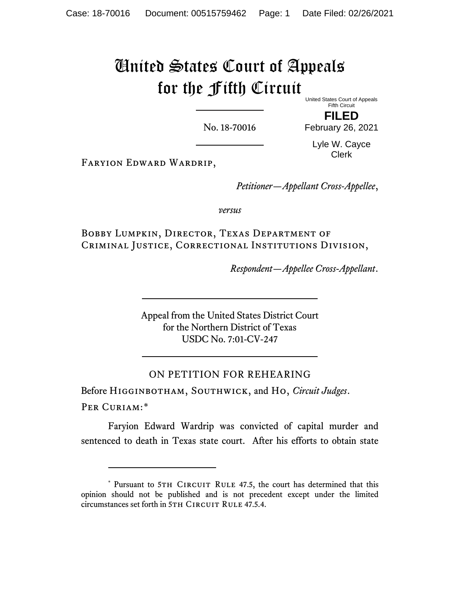## United States Court of Appeals for the Fifth Circuit

United States Court of Appeals Fifth Circuit

**FILED**

No. 18-70016

February 26, 2021

Lyle W. Cayce Clerk

Faryion Edward Wardrip,

*Petitioner—Appellant Cross-Appellee*,

*versus*

Bobby Lumpkin, Director, Texas Department of Criminal Justice, Correctional Institutions Division,

*Respondent—Appellee Cross-Appellant*.

Appeal from the United States District Court for the Northern District of Texas USDC No. 7:01-CV-247

## ON PETITION FOR REHEARING

Before Higginbotham, Southwick, and Ho, *Circuit Judges*. Per Curiam:[\\*](#page-0-0)

Faryion Edward Wardrip was convicted of capital murder and sentenced to death in Texas state court. After his efforts to obtain state

<span id="page-0-0"></span><sup>\*</sup> Pursuant to 5TH CIRCUIT RULE 47.5, the court has determined that this opinion should not be published and is not precedent except under the limited circumstances set forth in 5TH CIRCUIT RULE 47.5.4.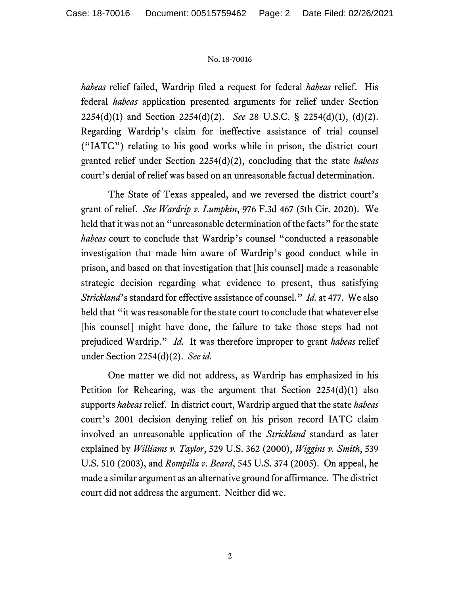## No. 18-70016

*habeas* relief failed, Wardrip filed a request for federal *habeas* relief. His federal *habeas* application presented arguments for relief under Section 2254(d)(1) and Section 2254(d)(2). *See* 28 U.S.C. § 2254(d)(1), (d)(2). Regarding Wardrip's claim for ineffective assistance of trial counsel ("IATC") relating to his good works while in prison, the district court granted relief under Section 2254(d)(2), concluding that the state *habeas*  court's denial of relief was based on an unreasonable factual determination.

The State of Texas appealed, and we reversed the district court's grant of relief. *See Wardrip v. Lumpkin*, 976 F.3d 467 (5th Cir. 2020). We held that it was not an "unreasonable determination of the facts" for the state *habeas* court to conclude that Wardrip's counsel "conducted a reasonable investigation that made him aware of Wardrip's good conduct while in prison, and based on that investigation that [his counsel] made a reasonable strategic decision regarding what evidence to present, thus satisfying *Strickland*'s standard for effective assistance of counsel." *Id.* at 477. We also held that "it was reasonable for the state court to conclude that whatever else [his counsel] might have done, the failure to take those steps had not prejudiced Wardrip." *Id.* It was therefore improper to grant *habeas* relief under Section 2254(d)(2). *See id.*

One matter we did not address, as Wardrip has emphasized in his Petition for Rehearing, was the argument that Section 2254(d)(1) also supports *habeas* relief. In district court, Wardrip argued that the state *habeas*  court's 2001 decision denying relief on his prison record IATC claim involved an unreasonable application of the *Strickland* standard as later explained by *Williams v. Taylor*, 529 U.S. 362 (2000), *Wiggins v. Smith*, 539 U.S. 510 (2003), and *Rompilla v. Beard*, 545 U.S. 374 (2005). On appeal, he made a similar argument as an alternative ground for affirmance. The district court did not address the argument. Neither did we.